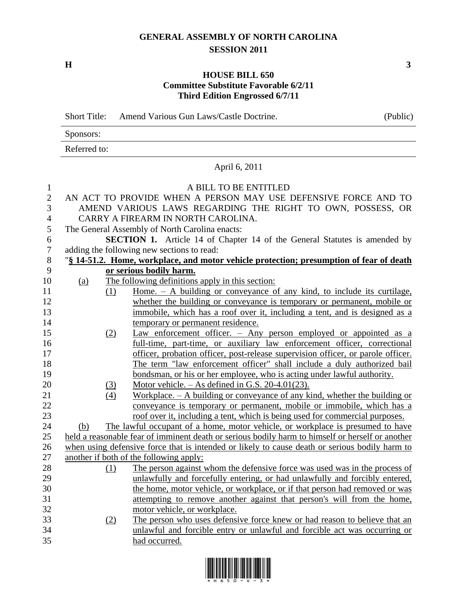## **GENERAL ASSEMBLY OF NORTH CAROLINA SESSION 2011**

**H 3**

## **HOUSE BILL 650 Committee Substitute Favorable 6/2/11 Third Edition Engrossed 6/7/11**

Short Title: Amend Various Gun Laws/Castle Doctrine. (Public)

|                                | Sponsors:     |            |                                                                                                  |  |  |  |
|--------------------------------|---------------|------------|--------------------------------------------------------------------------------------------------|--|--|--|
|                                | Referred to:  |            |                                                                                                  |  |  |  |
|                                | April 6, 2011 |            |                                                                                                  |  |  |  |
| $\mathbf{1}$<br>$\overline{2}$ |               |            | A BILL TO BE ENTITLED<br>AN ACT TO PROVIDE WHEN A PERSON MAY USE DEFENSIVE FORCE AND TO          |  |  |  |
| 3<br>$\overline{4}$            |               |            | AMEND VARIOUS LAWS REGARDING THE RIGHT TO OWN, POSSESS, OR<br>CARRY A FIREARM IN NORTH CAROLINA. |  |  |  |
| 5                              |               |            | The General Assembly of North Carolina enacts:                                                   |  |  |  |
| 6                              |               |            | <b>SECTION 1.</b> Article 14 of Chapter 14 of the General Statutes is amended by                 |  |  |  |
| $\boldsymbol{7}$               |               |            | adding the following new sections to read:                                                       |  |  |  |
| $8\,$                          |               |            | "§ 14-51.2. Home, workplace, and motor vehicle protection; presumption of fear of death          |  |  |  |
| 9                              |               |            | or serious bodily harm.                                                                          |  |  |  |
| 10                             | (a)           |            | The following definitions apply in this section:                                                 |  |  |  |
| 11                             |               | (1)        | <u>Home. <math>-</math> A building or conveyance of any kind, to include its curtilage,</u>      |  |  |  |
| 12                             |               |            | whether the building or conveyance is temporary or permanent, mobile or                          |  |  |  |
| 13                             |               |            | immobile, which has a roof over it, including a tent, and is designed as a                       |  |  |  |
| 14                             |               |            | temporary or permanent residence.                                                                |  |  |  |
| 15                             |               | (2)        | Law enforcement officer. $-$ Any person employed or appointed as a                               |  |  |  |
| 16                             |               |            | full-time, part-time, or auxiliary law enforcement officer, correctional                         |  |  |  |
| 17                             |               |            | officer, probation officer, post-release supervision officer, or parole officer.                 |  |  |  |
| 18                             |               |            | The term "law enforcement officer" shall include a duly authorized bail                          |  |  |  |
| 19                             |               |            | bondsman, or his or her employee, who is acting under lawful authority.                          |  |  |  |
| 20                             |               | <u>(3)</u> | Motor vehicle. - As defined in G.S. 20-4.01(23).                                                 |  |  |  |
| 21                             |               | (4)        | Workplace. $-$ A building or conveyance of any kind, whether the building or                     |  |  |  |
| 22                             |               |            | conveyance is temporary or permanent, mobile or immobile, which has a                            |  |  |  |
| 23                             |               |            | roof over it, including a tent, which is being used for commercial purposes.                     |  |  |  |
| 24                             | (b)           |            | The lawful occupant of a home, motor vehicle, or workplace is presumed to have                   |  |  |  |
| 25                             |               |            | held a reasonable fear of imminent death or serious bodily harm to himself or herself or another |  |  |  |
| 26                             |               |            | when using defensive force that is intended or likely to cause death or serious bodily harm to   |  |  |  |
| 27                             |               |            | another if both of the following apply:                                                          |  |  |  |
| 28                             |               | (1)        | The person against whom the defensive force was used was in the process of                       |  |  |  |
| 29                             |               |            | unlawfully and forcefully entering, or had unlawfully and forcibly entered,                      |  |  |  |
| 30                             |               |            | the home, motor vehicle, or workplace, or if that person had removed or was                      |  |  |  |
| 31                             |               |            | attempting to remove another against that person's will from the home,                           |  |  |  |
| 32                             |               |            | motor vehicle, or workplace.                                                                     |  |  |  |
| 33                             |               | (2)        | The person who uses defensive force knew or had reason to believe that an                        |  |  |  |
| 34                             |               |            | unlawful and forcible entry or unlawful and forcible act was occurring or                        |  |  |  |
| 35                             |               |            | had occurred.                                                                                    |  |  |  |

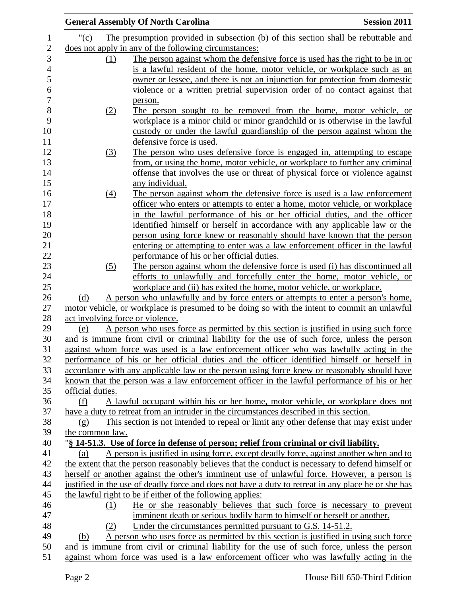|                  | <b>General Assembly Of North Carolina</b>                                                           | <b>Session 2011</b> |
|------------------|-----------------------------------------------------------------------------------------------------|---------------------|
| " $(c)$          | The presumption provided in subsection (b) of this section shall be rebuttable and                  |                     |
|                  | does not apply in any of the following circumstances:                                               |                     |
| (1)              | The person against whom the defensive force is used has the right to be in or                       |                     |
|                  | is a lawful resident of the home, motor vehicle, or workplace such as an                            |                     |
|                  | owner or lessee, and there is not an injunction for protection from domestic                        |                     |
|                  | violence or a written pretrial supervision order of no contact against that                         |                     |
|                  | person.                                                                                             |                     |
| (2)              | The person sought to be removed from the home, motor vehicle, or                                    |                     |
|                  | workplace is a minor child or minor grandchild or is otherwise in the lawful                        |                     |
|                  | custody or under the lawful guardianship of the person against whom the                             |                     |
|                  | defensive force is used.                                                                            |                     |
| $\left(3\right)$ | The person who uses defensive force is engaged in, attempting to escape                             |                     |
|                  | from, or using the home, motor vehicle, or workplace to further any criminal                        |                     |
|                  | offense that involves the use or threat of physical force or violence against                       |                     |
|                  | any individual.                                                                                     |                     |
| (4)              | The person against whom the defensive force is used is a law enforcement                            |                     |
|                  | officer who enters or attempts to enter a home, motor vehicle, or workplace                         |                     |
|                  | in the lawful performance of his or her official duties, and the officer                            |                     |
|                  | identified himself or herself in accordance with any applicable law or the                          |                     |
|                  | person using force knew or reasonably should have known that the person                             |                     |
|                  | entering or attempting to enter was a law enforcement officer in the lawful                         |                     |
|                  | performance of his or her official duties.                                                          |                     |
| (5)              | The person against whom the defensive force is used (i) has discontinued all                        |                     |
|                  | efforts to unlawfully and forcefully enter the home, motor vehicle, or                              |                     |
|                  | workplace and (ii) has exited the home, motor vehicle, or workplace.                                |                     |
| (d)              | A person who unlawfully and by force enters or attempts to enter a person's home,                   |                     |
|                  | motor vehicle, or workplace is presumed to be doing so with the intent to commit an unlawful        |                     |
|                  | act involving force or violence.                                                                    |                     |
| (e)              | A person who uses force as permitted by this section is justified in using such force               |                     |
|                  | and is immune from civil or criminal liability for the use of such force, unless the person         |                     |
|                  | against whom force was used is a law enforcement officer who was lawfully acting in the             |                     |
|                  | performance of his or her official duties and the officer identified himself or herself in          |                     |
|                  | accordance with any applicable law or the person using force knew or reasonably should have         |                     |
|                  | known that the person was a law enforcement officer in the lawful performance of his or her         |                     |
| official duties. |                                                                                                     |                     |
| (f)              | A lawful occupant within his or her home, motor vehicle, or workplace does not                      |                     |
|                  | have a duty to retreat from an intruder in the circumstances described in this section.             |                     |
| (g)              | This section is not intended to repeal or limit any other defense that may exist under              |                     |
| the common law.  |                                                                                                     |                     |
|                  | "§ 14-51.3. Use of force in defense of person; relief from criminal or civil liability.             |                     |
| (a)              | A person is justified in using force, except deadly force, against another when and to              |                     |
|                  | the extent that the person reasonably believes that the conduct is necessary to defend himself or   |                     |
|                  | herself or another against the other's imminent use of unlawful force. However, a person is         |                     |
|                  | justified in the use of deadly force and does not have a duty to retreat in any place he or she has |                     |
|                  | the lawful right to be if either of the following applies:                                          |                     |
| (1)              | He or she reasonably believes that such force is necessary to prevent                               |                     |
|                  | imminent death or serious bodily harm to himself or herself or another.                             |                     |
| (2)              | Under the circumstances permitted pursuant to G.S. 14-51.2.                                         |                     |
| (b)              | A person who uses force as permitted by this section is justified in using such force               |                     |
|                  | and is immune from civil or criminal liability for the use of such force, unless the person         |                     |
|                  | against whom force was used is a law enforcement officer who was lawfully acting in the             |                     |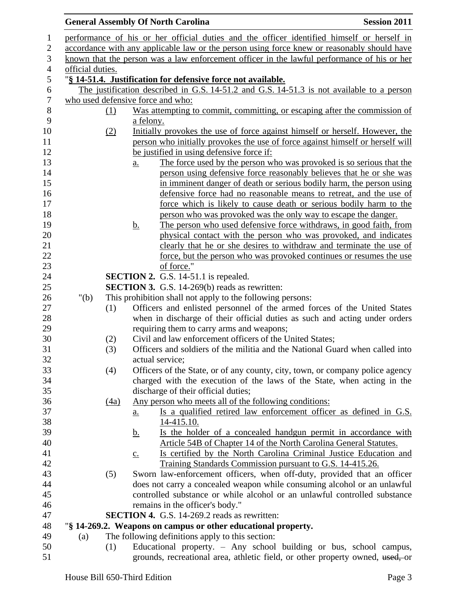## **General Assembly Of North Carolina Session 2011**  performance of his or her official duties and the officer identified himself or herself in accordance with any applicable law or the person using force knew or reasonably should have known that the person was a law enforcement officer in the lawful performance of his or her official duties. "**§ 14-51.4. Justification for defensive force not available.** The justification described in G.S. 14-51.2 and G.S. 14-51.3 is not available to a person who used defensive force and who: (1) Was attempting to commit, committing, or escaping after the commission of a felony. (2) Initially provokes the use of force against himself or herself. However, the person who initially provokes the use of force against himself or herself will 12 be justified in using defensive force if: a. The force used by the person who was provoked is so serious that the person using defensive force reasonably believes that he or she was in imminent danger of death or serious bodily harm, the person using defensive force had no reasonable means to retreat, and the use of force which is likely to cause death or serious bodily harm to the person who was provoked was the only way to escape the danger. 19 b. The person who used defensive force withdraws, in good faith, from physical contact with the person who was provoked, and indicates clearly that he or she desires to withdraw and terminate the use of force, but the person who was provoked continues or resumes the use of force." **SECTION 2.** G.S. 14-51.1 is repealed. **SECTION 3.** G.S. 14-269(b) reads as rewritten: "(b) This prohibition shall not apply to the following persons: (1) Officers and enlisted personnel of the armed forces of the United States when in discharge of their official duties as such and acting under orders requiring them to carry arms and weapons; (2) Civil and law enforcement officers of the United States; (3) Officers and soldiers of the militia and the National Guard when called into actual service; (4) Officers of the State, or of any county, city, town, or company police agency charged with the execution of the laws of the State, when acting in the discharge of their official duties; (4a) Any person who meets all of the following conditions: a. Is a qualified retired law enforcement officer as defined in G.S. 14-415.10. 39 b. Is the holder of a concealed handgun permit in accordance with Article 54B of Chapter 14 of the North Carolina General Statutes. 41 c. Is certified by the North Carolina Criminal Justice Education and Training Standards Commission pursuant to G.S. 14-415.26. (5) Sworn law-enforcement officers, when off-duty, provided that an officer does not carry a concealed weapon while consuming alcohol or an unlawful controlled substance or while alcohol or an unlawful controlled substance remains in the officer's body." **SECTION 4.** G.S. 14-269.2 reads as rewritten: "**§ 14-269.2. Weapons on campus or other educational property.** (a) The following definitions apply to this section: (1) Educational property. – Any school building or bus, school campus, grounds, recreational area, athletic field, or other property owned, used, or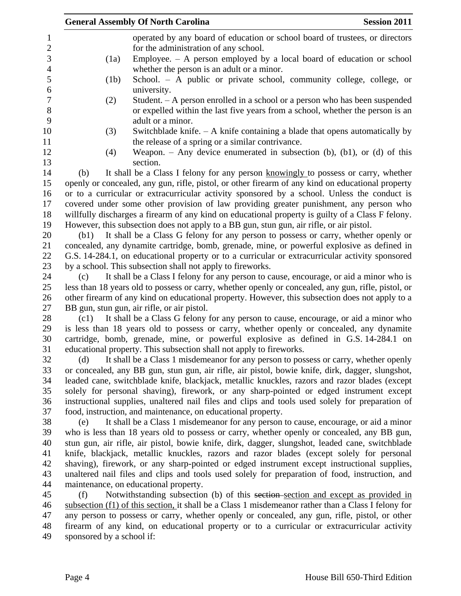|      | <b>General Assembly Of North Carolina</b>                                                           | <b>Session 2011</b> |
|------|-----------------------------------------------------------------------------------------------------|---------------------|
|      | operated by any board of education or school board of trustees, or directors                        |                     |
|      | for the administration of any school.                                                               |                     |
|      | Employee. $-$ A person employed by a local board of education or school<br>(1a)                     |                     |
|      | whether the person is an adult or a minor.                                                          |                     |
|      | School. - A public or private school, community college, college, or<br>(1b)                        |                     |
|      | university.                                                                                         |                     |
|      | Student. – A person enrolled in a school or a person who has been suspended<br>(2)                  |                     |
|      | or expelled within the last five years from a school, whether the person is an                      |                     |
|      | adult or a minor.                                                                                   |                     |
|      | Switchblade knife. $- A$ knife containing a blade that opens automatically by<br>(3)                |                     |
|      | the release of a spring or a similar contrivance.                                                   |                     |
|      | Weapon. – Any device enumerated in subsection $(b)$ , $(b1)$ , or $(d)$ of this<br>(4)              |                     |
|      | section.                                                                                            |                     |
| (b)  | It shall be a Class I felony for any person knowingly to possess or carry, whether                  |                     |
|      | openly or concealed, any gun, rifle, pistol, or other firearm of any kind on educational property   |                     |
|      | or to a curricular or extracurricular activity sponsored by a school. Unless the conduct is         |                     |
|      | covered under some other provision of law providing greater punishment, any person who              |                     |
|      | willfully discharges a firearm of any kind on educational property is guilty of a Class F felony.   |                     |
|      | However, this subsection does not apply to a BB gun, stun gun, air rifle, or air pistol.            |                     |
| (b1) | It shall be a Class G felony for any person to possess or carry, whether openly or                  |                     |
|      | concealed, any dynamite cartridge, bomb, grenade, mine, or powerful explosive as defined in         |                     |
|      | G.S. 14-284.1, on educational property or to a curricular or extracurricular activity sponsored     |                     |
|      | by a school. This subsection shall not apply to fireworks.                                          |                     |
| (c)  | It shall be a Class I felony for any person to cause, encourage, or aid a minor who is              |                     |
|      | less than 18 years old to possess or carry, whether openly or concealed, any gun, rifle, pistol, or |                     |
|      | other firearm of any kind on educational property. However, this subsection does not apply to a     |                     |
|      | BB gun, stun gun, air rifle, or air pistol.                                                         |                     |
| (c1) | It shall be a Class G felony for any person to cause, encourage, or aid a minor who                 |                     |
|      | is less than 18 years old to possess or carry, whether openly or concealed, any dynamite            |                     |
|      | cartridge, bomb, grenade, mine, or powerful explosive as defined in G.S. 14-284.1 on                |                     |
|      | educational property. This subsection shall not apply to fireworks.                                 |                     |
| (d)  | It shall be a Class 1 misdemean or for any person to possess or carry, whether openly               |                     |
|      | or concealed, any BB gun, stun gun, air rifle, air pistol, bowie knife, dirk, dagger, slungshot,    |                     |
|      | leaded cane, switchblade knife, blackjack, metallic knuckles, razors and razor blades (except       |                     |
|      | solely for personal shaving), firework, or any sharp-pointed or edged instrument except             |                     |
|      | instructional supplies, unaltered nail files and clips and tools used solely for preparation of     |                     |
|      | food, instruction, and maintenance, on educational property.                                        |                     |
| (e)  | It shall be a Class 1 misdemean or for any person to cause, encourage, or aid a minor               |                     |
|      | who is less than 18 years old to possess or carry, whether openly or concealed, any BB gun,         |                     |
|      | stun gun, air rifle, air pistol, bowie knife, dirk, dagger, slungshot, leaded cane, switchblade     |                     |
|      | knife, blackjack, metallic knuckles, razors and razor blades (except solely for personal            |                     |
|      | shaving), firework, or any sharp-pointed or edged instrument except instructional supplies,         |                     |
|      | unaltered nail files and clips and tools used solely for preparation of food, instruction, and      |                     |
|      | maintenance, on educational property.                                                               |                     |
| (f)  | Notwithstanding subsection (b) of this section-section and except as provided in                    |                     |
|      | subsection (f1) of this section, it shall be a Class 1 misdemeanor rather than a Class I felony for |                     |
|      | any person to possess or carry, whether openly or concealed, any gun, rifle, pistol, or other       |                     |
|      | firearm of any kind, on educational property or to a curricular or extracurricular activity         |                     |
|      | sponsored by a school if:                                                                           |                     |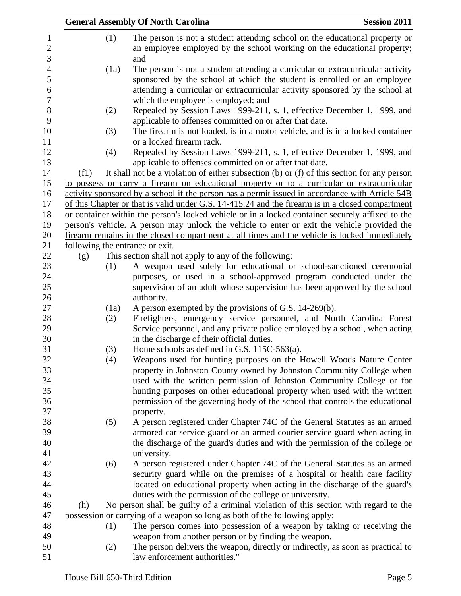|                                   |      |      | <b>General Assembly Of North Carolina</b>                                                                                                                                                                                                  | <b>Session 2011</b> |
|-----------------------------------|------|------|--------------------------------------------------------------------------------------------------------------------------------------------------------------------------------------------------------------------------------------------|---------------------|
| $\mathbf{1}$<br>$\mathbf{2}$<br>3 |      | (1)  | The person is not a student attending school on the educational property or<br>an employee employed by the school working on the educational property;<br>and                                                                              |                     |
| $\overline{4}$<br>5<br>6          |      | (1a) | The person is not a student attending a curricular or extracurricular activity<br>sponsored by the school at which the student is enrolled or an employee<br>attending a curricular or extracurricular activity sponsored by the school at |                     |
| $\boldsymbol{7}$<br>8             |      | (2)  | which the employee is employed; and<br>Repealed by Session Laws 1999-211, s. 1, effective December 1, 1999, and                                                                                                                            |                     |
| 9<br>10                           |      | (3)  | applicable to offenses committed on or after that date.<br>The firearm is not loaded, is in a motor vehicle, and is in a locked container                                                                                                  |                     |
| 11                                |      |      | or a locked firearm rack.                                                                                                                                                                                                                  |                     |
| 12<br>13                          |      | (4)  | Repealed by Session Laws 1999-211, s. 1, effective December 1, 1999, and<br>applicable to offenses committed on or after that date.                                                                                                        |                     |
| 14                                | (f1) |      | It shall not be a violation of either subsection (b) or (f) of this section for any person                                                                                                                                                 |                     |
| 15                                |      |      | to possess or carry a firearm on educational property or to a curricular or extracurricular                                                                                                                                                |                     |
| 16<br>17                          |      |      | activity sponsored by a school if the person has a permit issued in accordance with Article 54B<br>of this Chapter or that is valid under G.S. 14-415.24 and the firearm is in a closed compartment                                        |                     |
| 18                                |      |      | or container within the person's locked vehicle or in a locked container securely affixed to the                                                                                                                                           |                     |
| 19                                |      |      | person's vehicle. A person may unlock the vehicle to enter or exit the vehicle provided the                                                                                                                                                |                     |
| 20                                |      |      | firearm remains in the closed compartment at all times and the vehicle is locked immediately                                                                                                                                               |                     |
| 21                                |      |      | following the entrance or exit.                                                                                                                                                                                                            |                     |
| 22                                | (g)  |      | This section shall not apply to any of the following:                                                                                                                                                                                      |                     |
| 23                                |      | (1)  | A weapon used solely for educational or school-sanctioned ceremonial                                                                                                                                                                       |                     |
| 24                                |      |      | purposes, or used in a school-approved program conducted under the                                                                                                                                                                         |                     |
| 25<br>26                          |      |      | supervision of an adult whose supervision has been approved by the school<br>authority.                                                                                                                                                    |                     |
| 27                                |      | (1a) | A person exempted by the provisions of G.S. 14-269(b).                                                                                                                                                                                     |                     |
| 28                                |      | (2)  | Firefighters, emergency service personnel, and North Carolina Forest                                                                                                                                                                       |                     |
| 29<br>30                          |      |      | Service personnel, and any private police employed by a school, when acting<br>in the discharge of their official duties.                                                                                                                  |                     |
| 31                                |      | (3)  | Home schools as defined in G.S. 115C-563(a).                                                                                                                                                                                               |                     |
| 32                                |      | (4)  | Weapons used for hunting purposes on the Howell Woods Nature Center                                                                                                                                                                        |                     |
| 33<br>34                          |      |      | property in Johnston County owned by Johnston Community College when<br>used with the written permission of Johnston Community College or for                                                                                              |                     |
| 35                                |      |      | hunting purposes on other educational property when used with the written                                                                                                                                                                  |                     |
| 36                                |      |      | permission of the governing body of the school that controls the educational                                                                                                                                                               |                     |
| 37                                |      |      | property.                                                                                                                                                                                                                                  |                     |
| 38                                |      | (5)  | A person registered under Chapter 74C of the General Statutes as an armed                                                                                                                                                                  |                     |
| 39                                |      |      | armored car service guard or an armed courier service guard when acting in                                                                                                                                                                 |                     |
| 40                                |      |      | the discharge of the guard's duties and with the permission of the college or                                                                                                                                                              |                     |
| 41                                |      |      | university.                                                                                                                                                                                                                                |                     |
| 42                                |      | (6)  | A person registered under Chapter 74C of the General Statutes as an armed                                                                                                                                                                  |                     |
| 43                                |      |      | security guard while on the premises of a hospital or health care facility                                                                                                                                                                 |                     |
| 44<br>45                          |      |      | located on educational property when acting in the discharge of the guard's<br>duties with the permission of the college or university.                                                                                                    |                     |
| 46                                | (h)  |      | No person shall be guilty of a criminal violation of this section with regard to the                                                                                                                                                       |                     |
| 47                                |      |      | possession or carrying of a weapon so long as both of the following apply:                                                                                                                                                                 |                     |
| 48                                |      | (1)  | The person comes into possession of a weapon by taking or receiving the                                                                                                                                                                    |                     |
| 49                                |      |      | weapon from another person or by finding the weapon.                                                                                                                                                                                       |                     |
| 50                                |      | (2)  | The person delivers the weapon, directly or indirectly, as soon as practical to                                                                                                                                                            |                     |
| 51                                |      |      | law enforcement authorities."                                                                                                                                                                                                              |                     |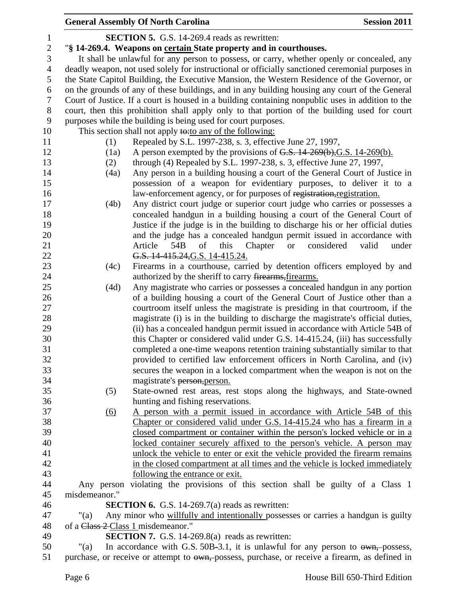|                |               | <b>General Assembly Of North Carolina</b>                                                               | <b>Session 2011</b> |
|----------------|---------------|---------------------------------------------------------------------------------------------------------|---------------------|
| $\mathbf{1}$   |               | <b>SECTION 5.</b> G.S. 14-269.4 reads as rewritten:                                                     |                     |
| $\overline{c}$ |               | "§ 14-269.4. Weapons on certain State property and in courthouses.                                      |                     |
| 3              |               | It shall be unlawful for any person to possess, or carry, whether openly or concealed, any              |                     |
| $\overline{4}$ |               | deadly weapon, not used solely for instructional or officially sanctioned ceremonial purposes in        |                     |
| 5              |               | the State Capitol Building, the Executive Mansion, the Western Residence of the Governor, or            |                     |
| 6              |               | on the grounds of any of these buildings, and in any building housing any court of the General          |                     |
| 7              |               | Court of Justice. If a court is housed in a building containing nonpublic uses in addition to the       |                     |
| $8\,$          |               | court, then this prohibition shall apply only to that portion of the building used for court            |                     |
| 9              |               | purposes while the building is being used for court purposes.                                           |                     |
| 10             |               | This section shall not apply to: to any of the following:                                               |                     |
| 11             | (1)           | Repealed by S.L. 1997-238, s. 3, effective June 27, 1997,                                               |                     |
| 12             | (1a)          | A person exempted by the provisions of G.S. 14-269(b), G.S. 14-269(b).                                  |                     |
| 13             | (2)           | through (4) Repealed by S.L. 1997-238, s. 3, effective June 27, 1997,                                   |                     |
| 14             | (4a)          | Any person in a building housing a court of the General Court of Justice in                             |                     |
| 15             |               | possession of a weapon for evidentiary purposes, to deliver it to a                                     |                     |
| 16             |               | law-enforcement agency, or for purposes of registration, registration.                                  |                     |
| 17             | (4b)          | Any district court judge or superior court judge who carries or possesses a                             |                     |
| 18             |               | concealed handgun in a building housing a court of the General Court of                                 |                     |
| 19             |               | Justice if the judge is in the building to discharge his or her official duties                         |                     |
| 20             |               | and the judge has a concealed handgun permit issued in accordance with                                  |                     |
| 21             |               | considered<br>Article<br>54 <sub>B</sub><br>of<br>this<br>Chapter<br><b>or</b>                          | valid<br>under      |
| 22             |               | G.S. 14-415.24, G.S. 14-415.24.                                                                         |                     |
| 23             | (4c)          | Firearms in a courthouse, carried by detention officers employed by and                                 |                     |
| 24             |               | authorized by the sheriff to carry firearms, firearms.                                                  |                     |
| 25             | (4d)          | Any magistrate who carries or possesses a concealed handgun in any portion                              |                     |
| 26             |               | of a building housing a court of the General Court of Justice other than a                              |                     |
| 27             |               | courtroom itself unless the magistrate is presiding in that courtroom, if the                           |                     |
| 28             |               | magistrate (i) is in the building to discharge the magistrate's official duties,                        |                     |
| 29             |               | (ii) has a concealed handgun permit issued in accordance with Article 54B of                            |                     |
| 30             |               | this Chapter or considered valid under G.S. 14-415.24, (iii) has successfully                           |                     |
| 31             |               | completed a one-time weapons retention training substantially similar to that                           |                     |
| 32             |               | provided to certified law enforcement officers in North Carolina, and (iv)                              |                     |
| 33             |               | secures the weapon in a locked compartment when the weapon is not on the                                |                     |
| 34             |               | magistrate's person, person.                                                                            |                     |
| 35             | (5)           | State-owned rest areas, rest stops along the highways, and State-owned                                  |                     |
| 36             |               | hunting and fishing reservations.                                                                       |                     |
| 37             | (6)           | A person with a permit issued in accordance with Article 54B of this                                    |                     |
| 38             |               | Chapter or considered valid under G.S. 14-415.24 who has a firearm in a                                 |                     |
| 39             |               | closed compartment or container within the person's locked vehicle or in a                              |                     |
| 40             |               | locked container securely affixed to the person's vehicle. A person may                                 |                     |
| 41             |               | unlock the vehicle to enter or exit the vehicle provided the firearm remains                            |                     |
| 42             |               | in the closed compartment at all times and the vehicle is locked immediately                            |                     |
| 43             |               | following the entrance or exit.                                                                         |                     |
| 44             |               | Any person violating the provisions of this section shall be guilty of a Class 1                        |                     |
| 45             | misdemeanor." |                                                                                                         |                     |
| 46             |               | <b>SECTION 6.</b> G.S. 14-269.7(a) reads as rewritten:                                                  |                     |
| 47             | " $(a)$       | Any minor who willfully and intentionally possesses or carries a handgun is guilty                      |                     |
| 48             |               | of a Class 2 Class 1 misdemeanor."                                                                      |                     |
| 49             |               | <b>SECTION 7.</b> G.S. 14-269.8(a) reads as rewritten:                                                  |                     |
| 50             | " $(a)$       | In accordance with G.S. $50B-3.1$ , it is unlawful for any person to $\overline{\text{own}}$ , possess, |                     |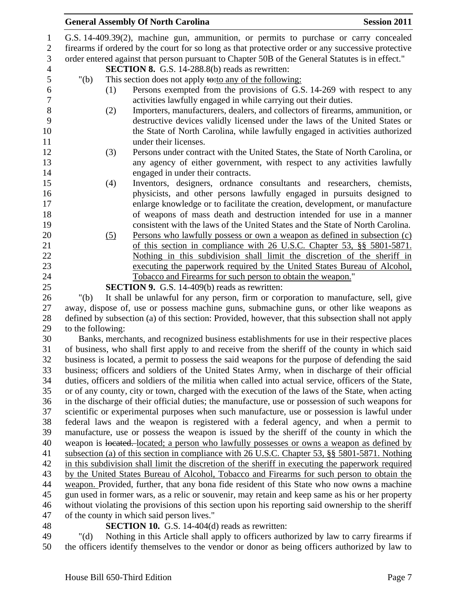|                                                                                                                                                                                                       |                   |     | <b>General Assembly Of North Carolina</b>                                                             | <b>Session 2011</b> |
|-------------------------------------------------------------------------------------------------------------------------------------------------------------------------------------------------------|-------------------|-----|-------------------------------------------------------------------------------------------------------|---------------------|
|                                                                                                                                                                                                       |                   |     | G.S. 14-409.39(2), machine gun, ammunition, or permits to purchase or carry concealed                 |                     |
|                                                                                                                                                                                                       |                   |     | firearms if ordered by the court for so long as that protective order or any successive protective    |                     |
|                                                                                                                                                                                                       |                   |     | order entered against that person pursuant to Chapter 50B of the General Statutes is in effect."      |                     |
|                                                                                                                                                                                                       |                   |     | <b>SECTION 8.</b> G.S. 14-288.8(b) reads as rewritten:                                                |                     |
|                                                                                                                                                                                                       | " $(b)$           |     | This section does not apply to: to any of the following:                                              |                     |
|                                                                                                                                                                                                       |                   | (1) | Persons exempted from the provisions of G.S. 14-269 with respect to any                               |                     |
|                                                                                                                                                                                                       |                   |     | activities lawfully engaged in while carrying out their duties.                                       |                     |
|                                                                                                                                                                                                       |                   | (2) | Importers, manufacturers, dealers, and collectors of firearms, ammunition, or                         |                     |
|                                                                                                                                                                                                       |                   |     | destructive devices validly licensed under the laws of the United States or                           |                     |
|                                                                                                                                                                                                       |                   |     | the State of North Carolina, while lawfully engaged in activities authorized<br>under their licenses. |                     |
|                                                                                                                                                                                                       |                   | (3) | Persons under contract with the United States, the State of North Carolina, or                        |                     |
|                                                                                                                                                                                                       |                   |     | any agency of either government, with respect to any activities lawfully                              |                     |
|                                                                                                                                                                                                       |                   |     | engaged in under their contracts.                                                                     |                     |
|                                                                                                                                                                                                       |                   | (4) | Inventors, designers, ordnance consultants and researchers, chemists,                                 |                     |
|                                                                                                                                                                                                       |                   |     | physicists, and other persons lawfully engaged in pursuits designed to                                |                     |
|                                                                                                                                                                                                       |                   |     | enlarge knowledge or to facilitate the creation, development, or manufacture                          |                     |
|                                                                                                                                                                                                       |                   |     | of weapons of mass death and destruction intended for use in a manner                                 |                     |
|                                                                                                                                                                                                       |                   |     | consistent with the laws of the United States and the State of North Carolina.                        |                     |
|                                                                                                                                                                                                       |                   | (5) | Persons who lawfully possess or own a weapon as defined in subsection (c)                             |                     |
|                                                                                                                                                                                                       |                   |     | of this section in compliance with 26 U.S.C. Chapter 53, §§ 5801-5871.                                |                     |
|                                                                                                                                                                                                       |                   |     | Nothing in this subdivision shall limit the discretion of the sheriff in                              |                     |
|                                                                                                                                                                                                       |                   |     | executing the paperwork required by the United States Bureau of Alcohol,                              |                     |
|                                                                                                                                                                                                       |                   |     | Tobacco and Firearms for such person to obtain the weapon."                                           |                     |
|                                                                                                                                                                                                       |                   |     | <b>SECTION 9.</b> G.S. 14-409(b) reads as rewritten:                                                  |                     |
|                                                                                                                                                                                                       | " $(b)$           |     | It shall be unlawful for any person, firm or corporation to manufacture, sell, give                   |                     |
|                                                                                                                                                                                                       |                   |     | away, dispose of, use or possess machine guns, submachine guns, or other like weapons as              |                     |
|                                                                                                                                                                                                       |                   |     | defined by subsection (a) of this section: Provided, however, that this subsection shall not apply    |                     |
|                                                                                                                                                                                                       | to the following: |     |                                                                                                       |                     |
|                                                                                                                                                                                                       |                   |     | Banks, merchants, and recognized business establishments for use in their respective places           |                     |
|                                                                                                                                                                                                       |                   |     | of business, who shall first apply to and receive from the sheriff of the county in which said        |                     |
|                                                                                                                                                                                                       |                   |     | business is located, a permit to possess the said weapons for the purpose of defending the said       |                     |
|                                                                                                                                                                                                       |                   |     | business; officers and soldiers of the United States Army, when in discharge of their official        |                     |
|                                                                                                                                                                                                       |                   |     | duties, officers and soldiers of the militia when called into actual service, officers of the State,  |                     |
| or of any county, city or town, charged with the execution of the laws of the State, when acting<br>in the discharge of their official duties; the manufacture, use or possession of such weapons for |                   |     |                                                                                                       |                     |
|                                                                                                                                                                                                       |                   |     | scientific or experimental purposes when such manufacture, use or possession is lawful under          |                     |
|                                                                                                                                                                                                       |                   |     | federal laws and the weapon is registered with a federal agency, and when a permit to                 |                     |
|                                                                                                                                                                                                       |                   |     | manufacture, use or possess the weapon is issued by the sheriff of the county in which the            |                     |
|                                                                                                                                                                                                       |                   |     |                                                                                                       |                     |

40 weapon is located. located; a person who lawfully possesses or owns a weapon as defined by subsection (a) of this section in compliance with 26 U.S.C. Chapter 53, §§ 5801-5871. Nothing in this subdivision shall limit the discretion of the sheriff in executing the paperwork required by the United States Bureau of Alcohol, Tobacco and Firearms for such person to obtain the weapon. Provided, further, that any bona fide resident of this State who now owns a machine gun used in former wars, as a relic or souvenir, may retain and keep same as his or her property without violating the provisions of this section upon his reporting said ownership to the sheriff of the county in which said person lives."

**SECTION 10.** G.S. 14-404(d) reads as rewritten:

 "(d) Nothing in this Article shall apply to officers authorized by law to carry firearms if the officers identify themselves to the vendor or donor as being officers authorized by law to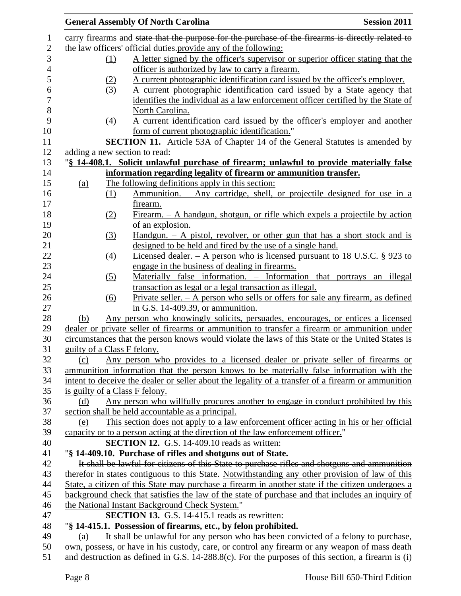|            |                  | <b>General Assembly Of North Carolina</b>                                                             | <b>Session 2011</b> |
|------------|------------------|-------------------------------------------------------------------------------------------------------|---------------------|
|            |                  | carry firearms and state that the purpose for the purchase of the firearms is directly related to     |                     |
|            |                  | the law officers' official duties provide any of the following:                                       |                     |
|            | (1)              | A letter signed by the officer's supervisor or superior officer stating that the                      |                     |
|            |                  | officer is authorized by law to carry a firearm.                                                      |                     |
|            | (2)              | A current photographic identification card issued by the officer's employer.                          |                     |
|            | (3)              | A current photographic identification card issued by a State agency that                              |                     |
|            |                  | identifies the individual as a law enforcement officer certified by the State of                      |                     |
|            |                  | North Carolina.                                                                                       |                     |
|            | $\left(4\right)$ | A current identification card issued by the officer's employer and another                            |                     |
|            |                  | form of current photographic identification."                                                         |                     |
|            |                  | <b>SECTION 11.</b> Article 53A of Chapter 14 of the General Statutes is amended by                    |                     |
|            |                  | adding a new section to read:                                                                         |                     |
|            |                  | "§ 14-408.1. Solicit unlawful purchase of firearm; unlawful to provide materially false               |                     |
|            |                  | information regarding legality of firearm or ammunition transfer.                                     |                     |
| <u>(a)</u> |                  | The following definitions apply in this section:                                                      |                     |
|            | $\Omega$         | <u>Ammunition. – Any cartridge, shell, or projectile designed for use in a</u>                        |                     |
|            |                  | firearm.                                                                                              |                     |
|            | (2)              | Firearm. $-$ A handgun, shotgun, or rifle which expels a projectile by action                         |                     |
|            |                  | of an explosion.                                                                                      |                     |
|            | (3)              | Handgun. $-$ A pistol, revolver, or other gun that has a short stock and is                           |                     |
|            |                  | designed to be held and fired by the use of a single hand.                                            |                     |
|            | (4)              | <u>Licensed dealer. – A person who is licensed pursuant to 18 U.S.C. § 923 to</u>                     |                     |
|            |                  | engage in the business of dealing in firearms.                                                        |                     |
|            | (5)              | Materially false information. - Information that portrays an illegal                                  |                     |
|            |                  | transaction as legal or a legal transaction as illegal.                                               |                     |
|            | (6)              | Private seller. $-$ A person who sells or offers for sale any firearm, as defined                     |                     |
|            |                  | in G.S. 14-409.39, or ammunition.                                                                     |                     |
| (b)        |                  | Any person who knowingly solicits, persuades, encourages, or entices a licensed                       |                     |
|            |                  | dealer or private seller of firearms or ammunition to transfer a firearm or ammunition under          |                     |
|            |                  | circumstances that the person knows would violate the laws of this State or the United States is      |                     |
|            |                  | guilty of a Class F felony.                                                                           |                     |
| (c)        |                  | Any person who provides to a licensed dealer or private seller of firearms or                         |                     |
|            |                  | ammunition information that the person knows to be materially false information with the              |                     |
|            |                  | intent to deceive the dealer or seller about the legality of a transfer of a firearm or ammunition    |                     |
|            |                  | is guilty of a Class F felony.                                                                        |                     |
| (d)        |                  | Any person who willfully procures another to engage in conduct prohibited by this                     |                     |
|            |                  | section shall be held accountable as a principal.                                                     |                     |
| (e)        |                  | This section does not apply to a law enforcement officer acting in his or her official                |                     |
|            |                  | capacity or to a person acting at the direction of the law enforcement officer."                      |                     |
|            |                  | <b>SECTION 12.</b> G.S. 14-409.10 reads as written:                                                   |                     |
|            |                  | "§ 14-409.10. Purchase of rifles and shotguns out of State.                                           |                     |
|            |                  | It shall be lawful for citizens of this State to purchase rifles and shotguns and ammunition          |                     |
|            |                  | therefor in states contiguous to this State. Notwithstanding any other provision of law of this       |                     |
|            |                  | State, a citizen of this State may purchase a firearm in another state if the citizen undergoes a     |                     |
|            |                  | background check that satisfies the law of the state of purchase and that includes an inquiry of      |                     |
|            |                  | the National Instant Background Check System."                                                        |                     |
|            |                  | SECTION 13. G.S. 14-415.1 reads as rewritten:                                                         |                     |
|            |                  | "§ 14-415.1. Possession of firearms, etc., by felon prohibited.                                       |                     |
| (a)        |                  | It shall be unlawful for any person who has been convicted of a felony to purchase,                   |                     |
|            |                  | own, possess, or have in his custody, care, or control any firearm or any weapon of mass death        |                     |
|            |                  | and destruction as defined in G.S. $14-288.8(c)$ . For the purposes of this section, a firearm is (i) |                     |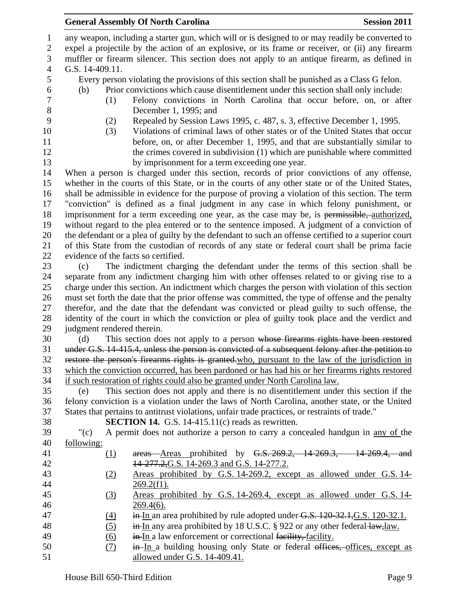# **General Assembly Of North Carolina Session 2011**

| $\mathbf{1}$   | any weapon, including a starter gun, which will or is designed to or may readily be converted to    |  |  |  |  |  |
|----------------|-----------------------------------------------------------------------------------------------------|--|--|--|--|--|
| $\mathbf{2}$   | expel a projectile by the action of an explosive, or its frame or receiver, or (ii) any firearm     |  |  |  |  |  |
| 3              | muffler or firearm silencer. This section does not apply to an antique firearm, as defined in       |  |  |  |  |  |
| $\overline{4}$ | G.S. 14-409.11.                                                                                     |  |  |  |  |  |
| 5              | Every person violating the provisions of this section shall be punished as a Class G felon.         |  |  |  |  |  |
| 6              | Prior convictions which cause disentitlement under this section shall only include:<br>(b)          |  |  |  |  |  |
| $\overline{7}$ | Felony convictions in North Carolina that occur before, on, or after<br>(1)                         |  |  |  |  |  |
| 8              | December 1, 1995; and                                                                               |  |  |  |  |  |
| 9              | Repealed by Session Laws 1995, c. 487, s. 3, effective December 1, 1995.<br>(2)                     |  |  |  |  |  |
| 10             | Violations of criminal laws of other states or of the United States that occur<br>(3)               |  |  |  |  |  |
| 11             | before, on, or after December 1, 1995, and that are substantially similar to                        |  |  |  |  |  |
| 12             | the crimes covered in subdivision (1) which are punishable where committed                          |  |  |  |  |  |
| 13             | by imprisonment for a term exceeding one year.                                                      |  |  |  |  |  |
| 14             | When a person is charged under this section, records of prior convictions of any offense,           |  |  |  |  |  |
| 15             | whether in the courts of this State, or in the courts of any other state or of the United States,   |  |  |  |  |  |
| 16             | shall be admissible in evidence for the purpose of proving a violation of this section. The term    |  |  |  |  |  |
| 17             | "conviction" is defined as a final judgment in any case in which felony punishment, or              |  |  |  |  |  |
| 18             | imprisonment for a term exceeding one year, as the case may be, is permissible, authorized,         |  |  |  |  |  |
| 19             | without regard to the plea entered or to the sentence imposed. A judgment of a conviction of        |  |  |  |  |  |
| 20             | the defendant or a plea of guilty by the defendant to such an offense certified to a superior court |  |  |  |  |  |
| 21             | of this State from the custodian of records of any state or federal court shall be prima facie      |  |  |  |  |  |
| 22             | evidence of the facts so certified.                                                                 |  |  |  |  |  |
| 23             | The indictment charging the defendant under the terms of this section shall be<br>(c)               |  |  |  |  |  |
| 24             | separate from any indictment charging him with other offenses related to or giving rise to a        |  |  |  |  |  |
| 25             | charge under this section. An indictment which charges the person with violation of this section    |  |  |  |  |  |
| 26             | must set forth the date that the prior offense was committed, the type of offense and the penalty   |  |  |  |  |  |
| 27             | therefor, and the date that the defendant was convicted or plead guilty to such offense, the        |  |  |  |  |  |
| 28             | identity of the court in which the conviction or plea of guilty took place and the verdict and      |  |  |  |  |  |
| 29             | judgment rendered therein.                                                                          |  |  |  |  |  |
| 30             | This section does not apply to a person whose firearms rights have been restored<br>(d)             |  |  |  |  |  |
| 31             | under G.S. 14-415.4, unless the person is convicted of a subsequent felony after the petition to    |  |  |  |  |  |
| 32             | restore the person's firearms rights is granted who, pursuant to the law of the jurisdiction in     |  |  |  |  |  |
| 33             | which the conviction occurred, has been pardoned or has had his or her firearms rights restored     |  |  |  |  |  |
| 34             | if such restoration of rights could also be granted under North Carolina law.                       |  |  |  |  |  |
| 35             | This section does not apply and there is no disentitlement under this section if the<br>(e)         |  |  |  |  |  |
| 36             | felony conviction is a violation under the laws of North Carolina, another state, or the United     |  |  |  |  |  |
| 37             | States that pertains to antitrust violations, unfair trade practices, or restraints of trade."      |  |  |  |  |  |
| 38             | <b>SECTION 14.</b> G.S. 14-415.11(c) reads as rewritten.                                            |  |  |  |  |  |
| 39             | " $(c)$<br>A permit does not authorize a person to carry a concealed handgun in any of the          |  |  |  |  |  |
| 40             | following:                                                                                          |  |  |  |  |  |
| 41             | areas Areas prohibited by G.S. 269.2, 14-269.3, 14-269.4, and                                       |  |  |  |  |  |
| 42             | $\Omega$<br>14-277.2, G.S. 14-269.3 and G.S. 14-277.2.                                              |  |  |  |  |  |
| 43             |                                                                                                     |  |  |  |  |  |
|                | Areas prohibited by G.S. 14-269.2, except as allowed under G.S. 14-<br>(2)                          |  |  |  |  |  |
| 44             | $269.2(f1)$ .                                                                                       |  |  |  |  |  |
| 45             | Areas prohibited by G.S. 14-269.4, except as allowed under G.S. 14-<br>$\left(3\right)$             |  |  |  |  |  |
| 46             | $269.4(6)$ .                                                                                        |  |  |  |  |  |
| 47             | in-In an area prohibited by rule adopted under G.S. 120-32.1, G.S. 120-32.1.<br>$\left(4\right)$    |  |  |  |  |  |
| 48             | in-In any area prohibited by 18 U.S.C. § 922 or any other federal-law-law.<br>(5)                   |  |  |  |  |  |
| 49             | in In a law enforcement or correctional facility, facility.<br>(6)                                  |  |  |  |  |  |
| 50             | in-In a building housing only State or federal offices, offices, except as<br>(7)                   |  |  |  |  |  |
| 51             | allowed under G.S. 14-409.41.                                                                       |  |  |  |  |  |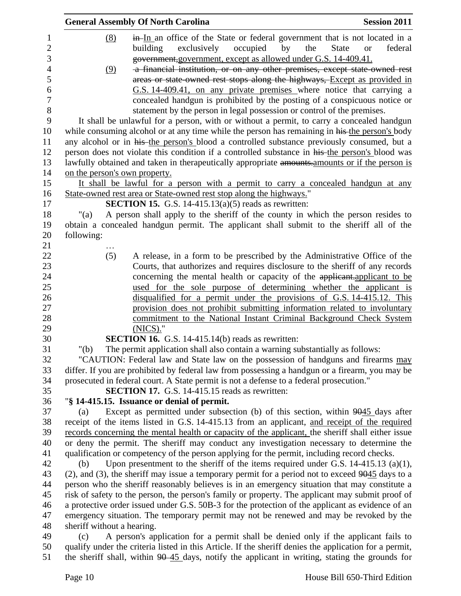| <b>General Assembly Of North Carolina</b>                                                                                                                                                          | <b>Session 2011</b>                         |
|----------------------------------------------------------------------------------------------------------------------------------------------------------------------------------------------------|---------------------------------------------|
| in-In an office of the State or federal government that is not located in a<br>(8)<br>exclusively<br>by<br>occupied<br>building<br>government, government, except as allowed under G.S. 14-409.41. | the<br><b>State</b><br>federal<br><b>or</b> |
| -a financial institution, or on any other premises, except state owned rest<br>(9)                                                                                                                 |                                             |
| areas or state-owned rest stops along the highways, Except as provided in                                                                                                                          |                                             |
| G.S. 14-409.41, on any private premises where notice that carrying a                                                                                                                               |                                             |
| concealed handgun is prohibited by the posting of a conspicuous notice or                                                                                                                          |                                             |
| statement by the person in legal possession or control of the premises.                                                                                                                            |                                             |
| It shall be unlawful for a person, with or without a permit, to carry a concealed handgun                                                                                                          |                                             |
| while consuming alcohol or at any time while the person has remaining in his the person's body<br>any alcohol or in his the person's blood a controlled substance previously consumed, but a       |                                             |
| person does not violate this condition if a controlled substance in his the person's blood was                                                                                                     |                                             |
| lawfully obtained and taken in therapeutically appropriate amounts amounts or if the person is                                                                                                     |                                             |
| on the person's own property.                                                                                                                                                                      |                                             |
| It shall be lawful for a person with a permit to carry a concealed handgun at any                                                                                                                  |                                             |
| State-owned rest area or State-owned rest stop along the highways."                                                                                                                                |                                             |
| <b>SECTION 15.</b> G.S. 14-415.13(a)(5) reads as rewritten:                                                                                                                                        |                                             |
| A person shall apply to the sheriff of the county in which the person resides to<br>" $(a)$                                                                                                        |                                             |
| obtain a concealed handgun permit. The applicant shall submit to the sheriff all of the                                                                                                            |                                             |
| following:                                                                                                                                                                                         |                                             |
|                                                                                                                                                                                                    |                                             |
| (5)<br>A release, in a form to be prescribed by the Administrative Office of the<br>Courts, that authorizes and requires disclosure to the sheriff of any records                                  |                                             |
| concerning the mental health or capacity of the applicant.applicant to be                                                                                                                          |                                             |
| used for the sole purpose of determining whether the applicant is                                                                                                                                  |                                             |
| disqualified for a permit under the provisions of G.S. 14-415.12. This                                                                                                                             |                                             |
| provision does not prohibit submitting information related to involuntary                                                                                                                          |                                             |
| commitment to the National Instant Criminal Background Check System                                                                                                                                |                                             |
| $(NICS).$ "                                                                                                                                                                                        |                                             |
| <b>SECTION 16.</b> G.S. 14-415.14(b) reads as rewritten:                                                                                                                                           |                                             |
| " $(b)$<br>The permit application shall also contain a warning substantially as follows:                                                                                                           |                                             |
| "CAUTION: Federal law and State law on the possession of handguns and firearms may                                                                                                                 |                                             |
| differ. If you are prohibited by federal law from possessing a handgun or a firearm, you may be                                                                                                    |                                             |
| prosecuted in federal court. A State permit is not a defense to a federal prosecution."                                                                                                            |                                             |
| <b>SECTION 17.</b> G.S. 14-415.15 reads as rewritten:                                                                                                                                              |                                             |
| "§ 14-415.15. Issuance or denial of permit.                                                                                                                                                        |                                             |
| Except as permitted under subsection (b) of this section, within 9045 days after<br>(a)<br>receipt of the items listed in G.S. 14-415.13 from an applicant, and receipt of the required            |                                             |
| records concerning the mental health or capacity of the applicant, the sheriff shall either issue                                                                                                  |                                             |
| or deny the permit. The sheriff may conduct any investigation necessary to determine the                                                                                                           |                                             |
| qualification or competency of the person applying for the permit, including record checks.                                                                                                        |                                             |
| Upon presentment to the sheriff of the items required under G.S. $14-415.13$ (a)(1),<br>(b)                                                                                                        |                                             |
| $(2)$ , and $(3)$ , the sheriff may issue a temporary permit for a period not to exceed $9045$ days to a                                                                                           |                                             |
| person who the sheriff reasonably believes is in an emergency situation that may constitute a                                                                                                      |                                             |
| risk of safety to the person, the person's family or property. The applicant may submit proof of                                                                                                   |                                             |
| a protective order issued under G.S. 50B-3 for the protection of the applicant as evidence of an                                                                                                   |                                             |
| emergency situation. The temporary permit may not be renewed and may be revoked by the                                                                                                             |                                             |
| sheriff without a hearing.                                                                                                                                                                         |                                             |
| A person's application for a permit shall be denied only if the applicant fails to<br>(c)                                                                                                          |                                             |
| qualify under the criteria listed in this Article. If the sheriff denies the application for a permit,                                                                                             |                                             |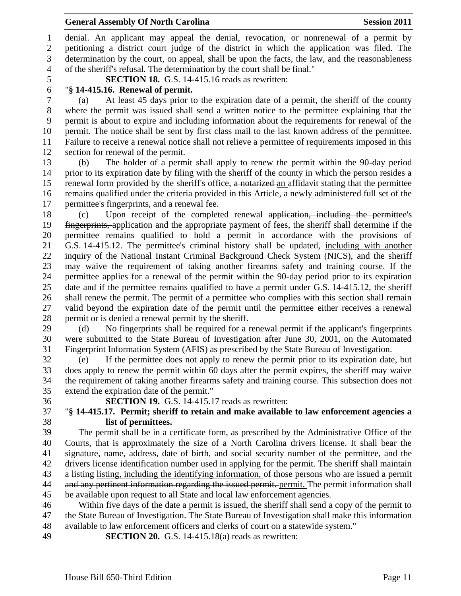#### **General Assembly Of North Carolina Session 2011**

 denial. An applicant may appeal the denial, revocation, or nonrenewal of a permit by petitioning a district court judge of the district in which the application was filed. The determination by the court, on appeal, shall be upon the facts, the law, and the reasonableness of the sheriff's refusal. The determination by the court shall be final."

**SECTION 18.** G.S. 14-415.16 reads as rewritten:

## "**§ 14-415.16. Renewal of permit.**

 (a) At least 45 days prior to the expiration date of a permit, the sheriff of the county where the permit was issued shall send a written notice to the permittee explaining that the permit is about to expire and including information about the requirements for renewal of the permit. The notice shall be sent by first class mail to the last known address of the permittee. Failure to receive a renewal notice shall not relieve a permittee of requirements imposed in this section for renewal of the permit.

 (b) The holder of a permit shall apply to renew the permit within the 90-day period prior to its expiration date by filing with the sheriff of the county in which the person resides a 15 renewal form provided by the sheriff's office, a notarized an affidavit stating that the permittee remains qualified under the criteria provided in this Article, a newly administered full set of the permittee's fingerprints, and a renewal fee.

 (c) Upon receipt of the completed renewal application, including the permittee's 19 <del>fingerprints, application and the appropriate payment</del> of fees, the sheriff shall determine if the permittee remains qualified to hold a permit in accordance with the provisions of G.S. 14-415.12. The permittee's criminal history shall be updated, including with another inquiry of the National Instant Criminal Background Check System (NICS), and the sheriff may waive the requirement of taking another firearms safety and training course. If the permittee applies for a renewal of the permit within the 90-day period prior to its expiration date and if the permittee remains qualified to have a permit under G.S. 14-415.12, the sheriff shall renew the permit. The permit of a permittee who complies with this section shall remain valid beyond the expiration date of the permit until the permittee either receives a renewal permit or is denied a renewal permit by the sheriff.

 (d) No fingerprints shall be required for a renewal permit if the applicant's fingerprints were submitted to the State Bureau of Investigation after June 30, 2001, on the Automated Fingerprint Information System (AFIS) as prescribed by the State Bureau of Investigation.

 (e) If the permittee does not apply to renew the permit prior to its expiration date, but does apply to renew the permit within 60 days after the permit expires, the sheriff may waive the requirement of taking another firearms safety and training course. This subsection does not extend the expiration date of the permit."

**SECTION 19.** G.S. 14-415.17 reads as rewritten:

## "**§ 14-415.17. Permit; sheriff to retain and make available to law enforcement agencies a list of permittees.**

 The permit shall be in a certificate form, as prescribed by the Administrative Office of the Courts, that is approximately the size of a North Carolina drivers license. It shall bear the signature, name, address, date of birth, and social security number of the permittee, and the drivers license identification number used in applying for the permit. The sheriff shall maintain 43 a listing listing, including the identifying information, of those persons who are issued a permit 44 and any pertinent information regarding the issued permit. permit. The permit information shall be available upon request to all State and local law enforcement agencies.

 Within five days of the date a permit is issued, the sheriff shall send a copy of the permit to the State Bureau of Investigation. The State Bureau of Investigation shall make this information available to law enforcement officers and clerks of court on a statewide system."

**SECTION 20.** G.S. 14-415.18(a) reads as rewritten: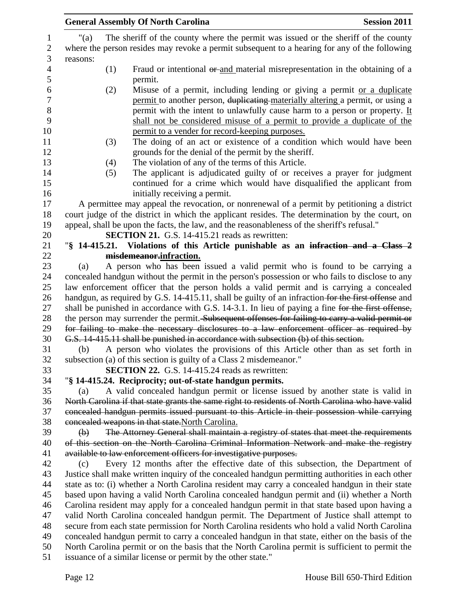|          |          | <b>General Assembly Of North Carolina</b>                                                          | <b>Session 2011</b> |
|----------|----------|----------------------------------------------------------------------------------------------------|---------------------|
|          | " $(a)$  | The sheriff of the county where the permit was issued or the sheriff of the county                 |                     |
|          |          | where the person resides may revoke a permit subsequent to a hearing for any of the following      |                     |
| reasons: |          |                                                                                                    |                     |
|          | (1)      | Fraud or intentional or and material misrepresentation in the obtaining of a                       |                     |
|          |          | permit.                                                                                            |                     |
|          | (2)      | Misuse of a permit, including lending or giving a permit or a duplicate                            |                     |
|          |          | permit to another person, duplicating materially altering a permit, or using a                     |                     |
|          |          | permit with the intent to unlawfully cause harm to a person or property. It                        |                     |
|          |          | shall not be considered misuse of a permit to provide a duplicate of the                           |                     |
|          |          | permit to a vender for record-keeping purposes.                                                    |                     |
|          | (3)      | The doing of an act or existence of a condition which would have been                              |                     |
|          |          | grounds for the denial of the permit by the sheriff.                                               |                     |
|          | (4)      | The violation of any of the terms of this Article.                                                 |                     |
|          |          | The applicant is adjudicated guilty of or receives a prayer for judgment                           |                     |
|          | (5)      |                                                                                                    |                     |
|          |          | continued for a crime which would have disqualified the applicant from                             |                     |
|          |          | initially receiving a permit.                                                                      |                     |
|          |          | A permittee may appeal the revocation, or nonrenewal of a permit by petitioning a district         |                     |
|          |          | court judge of the district in which the applicant resides. The determination by the court, on     |                     |
|          |          | appeal, shall be upon the facts, the law, and the reasonableness of the sheriff's refusal."        |                     |
|          |          | <b>SECTION 21.</b> G.S. 14-415.21 reads as rewritten:                                              |                     |
|          |          | "§ 14-415.21. Violations of this Article punishable as an infraction and a Class 2                 |                     |
|          |          | misdemeanor.infraction.                                                                            |                     |
|          | (a)      | A person who has been issued a valid permit who is found to be carrying a                          |                     |
|          |          | concealed handgun without the permit in the person's possession or who fails to disclose to any    |                     |
|          |          | law enforcement officer that the person holds a valid permit and is carrying a concealed           |                     |
|          |          | handgun, as required by G.S. 14-415.11, shall be guilty of an infraction for the first offense and |                     |
|          |          | shall be punished in accordance with G.S. 14-3.1. In lieu of paying a fine for the first offense,  |                     |
|          |          | the person may surrender the permit. Subsequent offenses for failing to carry a valid permit or    |                     |
|          |          | for failing to make the necessary disclosures to a law enforcement officer as required by          |                     |
|          |          | G.S. 14-415.11 shall be punished in accordance with subsection (b) of this section.                |                     |
|          | (b)      | A person who violates the provisions of this Article other than as set forth in                    |                     |
|          |          | subsection (a) of this section is guilty of a Class 2 misdemeanor."                                |                     |
|          |          | <b>SECTION 22.</b> G.S. 14-415.24 reads as rewritten:                                              |                     |
|          |          | "§ 14-415.24. Reciprocity; out-of-state handgun permits.                                           |                     |
|          | (a)      | A valid concealed handgun permit or license issued by another state is valid in                    |                     |
|          |          | North Carolina if that state grants the same right to residents of North Carolina who have valid   |                     |
|          |          | concealed handgun permits issued pursuant to this Article in their possession while carrying       |                     |
|          |          | concealed weapons in that state. North Carolina.                                                   |                     |
|          | $\Theta$ | The Attorney General shall maintain a registry of states that meet the requirements                |                     |
|          |          | of this section on the North Carolina Criminal Information Network and make the registry           |                     |
|          |          | available to law enforcement officers for investigative purposes.                                  |                     |
|          | (c)      | Every 12 months after the effective date of this subsection, the Department of                     |                     |
|          |          | Justice shall make written inquiry of the concealed handgun permitting authorities in each other   |                     |
|          |          | state as to: (i) whether a North Carolina resident may carry a concealed handgun in their state    |                     |
|          |          | based upon having a valid North Carolina concealed handgun permit and (ii) whether a North         |                     |
|          |          | Carolina resident may apply for a concealed handgun permit in that state based upon having a       |                     |
|          |          | valid North Carolina concealed handgun permit. The Department of Justice shall attempt to          |                     |
|          |          | secure from each state permission for North Carolina residents who hold a valid North Carolina     |                     |
|          |          | concealed handgun permit to carry a concealed handgun in that state, either on the basis of the    |                     |
|          |          | North Carolina permit or on the basis that the North Carolina permit is sufficient to permit the   |                     |
|          |          | issuance of a similar license or permit by the other state."                                       |                     |
|          |          |                                                                                                    |                     |